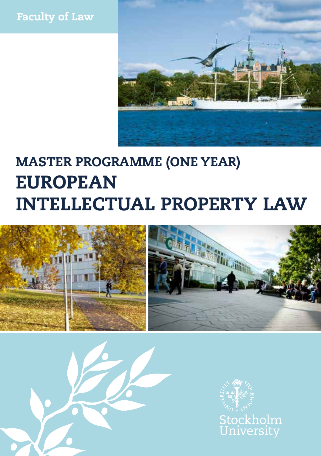



# MASTER PROGRAMME (ONE YEAR) EUROPEAN INTELLECTUAL PROPERTY LAW





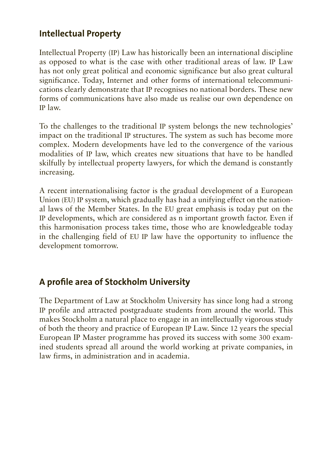#### **Intellectual Property**

Intellectual Property (IP) Law has historically been an international discipline as opposed to what is the case with other traditional areas of law. IP Law has not only great political and economic significance but also great cultural significance. Today, Internet and other forms of international telecommunications clearly demonstrate that IP recognises no national borders. These new forms of communications have also made us realise our own dependence on IP law.

To the challenges to the traditional IP system belongs the new technologies' impact on the traditional IP structures. The system as such has become more complex. Modern developments have led to the convergence of the various modalities of IP law, which creates new situations that have to be handled skilfully by intellectual property lawyers, for which the demand is constantly increasing.

A recent internationalising factor is the gradual development of a European Union (EU) IP system, which gradually has had a unifying effect on the national laws of the Member States. In the EU great emphasis is today put on the IP developments, which are considered as n important growth factor. Even if this harmonisation process takes time, those who are knowledgeable today in the challenging field of EU IP law have the opportunity to influence the development tomorrow.

### **A profile area of Stockholm University**

The Department of Law at Stockholm University has since long had a strong IP profile and attracted postgraduate students from around the world. This makes Stockholm a natural place to engage in an intellectually vigorous study of both the theory and practice of European IP Law. Since 12 years the special European IP Master programme has proved its success with some 300 examined students spread all around the world working at private companies, in law firms, in administration and in academia.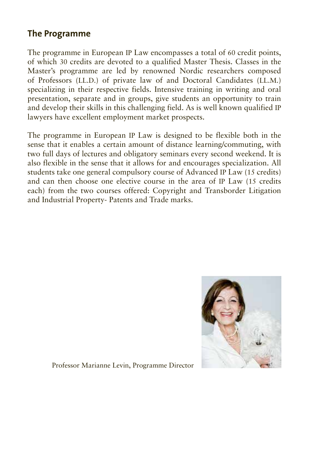#### **The Programme**

The programme in European IP Law encompasses a total of 60 credit points, of which 30 credits are devoted to a qualified Master Thesis. Classes in the Master's programme are led by renowned Nordic researchers composed of Professors (LL.D.) of private law of and Doctoral Candidates (LL.M.) specializing in their respective fields. Intensive training in writing and oral presentation, separate and in groups, give students an opportunity to train and develop their skills in this challenging field. As is well known qualified IP lawyers have excellent employment market prospects.

The programme in European IP Law is designed to be flexible both in the sense that it enables a certain amount of distance learning/commuting, with two full days of lectures and obligatory seminars every second weekend. It is also flexible in the sense that it allows for and encourages specialization. All students take one general compulsory course of Advanced IP Law (15 credits) and can then choose one elective course in the area of IP Law (15 credits each) from the two courses offered: Copyright and Transborder Litigation and Industrial Property- Patents and Trade marks.



Professor Marianne Levin, Programme Director